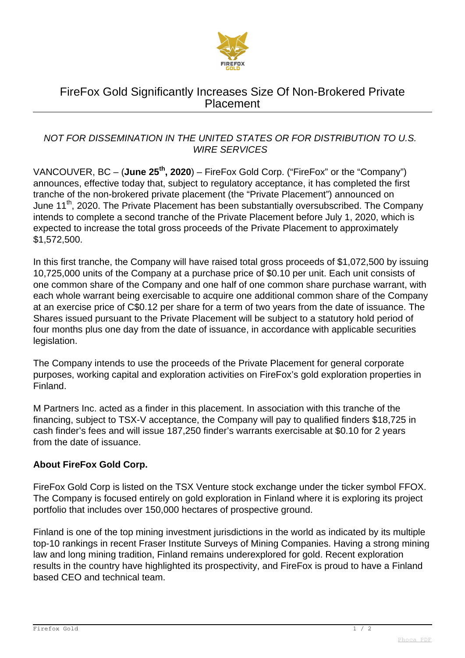

# FireFox Gold Significantly Increases Size Of Non-Brokered Private Placement

### NOT FOR DISSEMINATION IN THE UNITED STATES OR FOR DISTRIBUTION TO U.S. WIRE SERVICES

VANCOUVER, BC – (**June 25th, 2020**) – FireFox Gold Corp. ("FireFox" or the "Company") announces, effective today that, subject to regulatory acceptance, it has completed the first tranche of the non-brokered private placement (the "Private Placement") announced on June 11<sup>th</sup>, 2020. The Private Placement has been substantially oversubscribed. The Company intends to complete a second tranche of the Private Placement before July 1, 2020, which is expected to increase the total gross proceeds of the Private Placement to approximately \$1,572,500.

In this first tranche, the Company will have raised total gross proceeds of \$1,072,500 by issuing 10,725,000 units of the Company at a purchase price of \$0.10 per unit. Each unit consists of one common share of the Company and one half of one common share purchase warrant, with each whole warrant being exercisable to acquire one additional common share of the Company at an exercise price of C\$0.12 per share for a term of two years from the date of issuance. The Shares issued pursuant to the Private Placement will be subject to a statutory hold period of four months plus one day from the date of issuance, in accordance with applicable securities legislation.

The Company intends to use the proceeds of the Private Placement for general corporate purposes, working capital and exploration activities on FireFox's gold exploration properties in Finland.

M Partners Inc. acted as a finder in this placement. In association with this tranche of the financing, subject to TSX-V acceptance, the Company will pay to qualified finders \$18,725 in cash finder's fees and will issue 187,250 finder's warrants exercisable at \$0.10 for 2 years from the date of issuance.

## **About FireFox Gold Corp.**

FireFox Gold Corp is listed on the TSX Venture stock exchange under the ticker symbol FFOX. The Company is focused entirely on gold exploration in Finland where it is exploring its project portfolio that includes over 150,000 hectares of prospective ground.

Finland is one of the top mining investment jurisdictions in the world as indicated by its multiple top-10 rankings in recent Fraser Institute Surveys of Mining Companies. Having a strong mining law and long mining tradition, Finland remains underexplored for gold. Recent exploration results in the country have highlighted its prospectivity, and FireFox is proud to have a Finland based CEO and technical team.